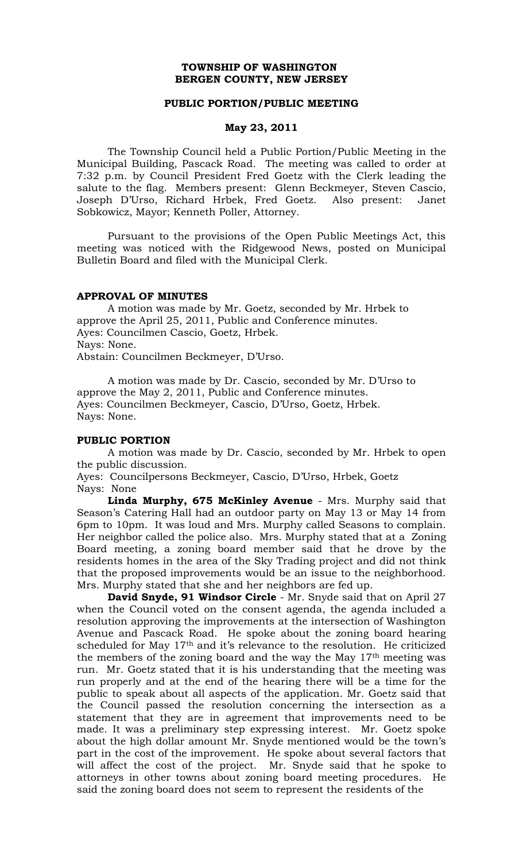# **TOWNSHIP OF WASHINGTON BERGEN COUNTY, NEW JERSEY**

#### **PUBLIC PORTION/PUBLIC MEETING**

### **May 23, 2011**

The Township Council held a Public Portion/Public Meeting in the Municipal Building, Pascack Road. The meeting was called to order at 7:32 p.m. by Council President Fred Goetz with the Clerk leading the salute to the flag. Members present: Glenn Beckmeyer, Steven Cascio, Joseph D'Urso, Richard Hrbek, Fred Goetz. Also present: Janet Sobkowicz, Mayor; Kenneth Poller, Attorney.

Pursuant to the provisions of the Open Public Meetings Act, this meeting was noticed with the Ridgewood News, posted on Municipal Bulletin Board and filed with the Municipal Clerk.

#### **APPROVAL OF MINUTES**

A motion was made by Mr. Goetz, seconded by Mr. Hrbek to approve the April 25, 2011, Public and Conference minutes. Ayes: Councilmen Cascio, Goetz, Hrbek. Nays: None. Abstain: Councilmen Beckmeyer, D'Urso.

A motion was made by Dr. Cascio, seconded by Mr. D'Urso to approve the May 2, 2011, Public and Conference minutes. Ayes: Councilmen Beckmeyer, Cascio, D'Urso, Goetz, Hrbek. Nays: None.

#### **PUBLIC PORTION**

A motion was made by Dr. Cascio, seconded by Mr. Hrbek to open the public discussion.

Ayes: Councilpersons Beckmeyer, Cascio, D'Urso, Hrbek, Goetz Nays: None

**Linda Murphy, 675 McKinley Avenue** - Mrs. Murphy said that Season's Catering Hall had an outdoor party on May 13 or May 14 from 6pm to 10pm. It was loud and Mrs. Murphy called Seasons to complain. Her neighbor called the police also. Mrs. Murphy stated that at a Zoning Board meeting, a zoning board member said that he drove by the residents homes in the area of the Sky Trading project and did not think that the proposed improvements would be an issue to the neighborhood. Mrs. Murphy stated that she and her neighbors are fed up.

**David Snyde, 91 Windsor Circle** - Mr. Snyde said that on April 27 when the Council voted on the consent agenda, the agenda included a resolution approving the improvements at the intersection of Washington Avenue and Pascack Road. He spoke about the zoning board hearing scheduled for May 17<sup>th</sup> and it's relevance to the resolution. He criticized the members of the zoning board and the way the May  $17<sup>th</sup>$  meeting was run. Mr. Goetz stated that it is his understanding that the meeting was run properly and at the end of the hearing there will be a time for the public to speak about all aspects of the application. Mr. Goetz said that the Council passed the resolution concerning the intersection as a statement that they are in agreement that improvements need to be made. It was a preliminary step expressing interest. Mr. Goetz spoke about the high dollar amount Mr. Snyde mentioned would be the town's part in the cost of the improvement. He spoke about several factors that will affect the cost of the project. Mr. Snyde said that he spoke to attorneys in other towns about zoning board meeting procedures. He said the zoning board does not seem to represent the residents of the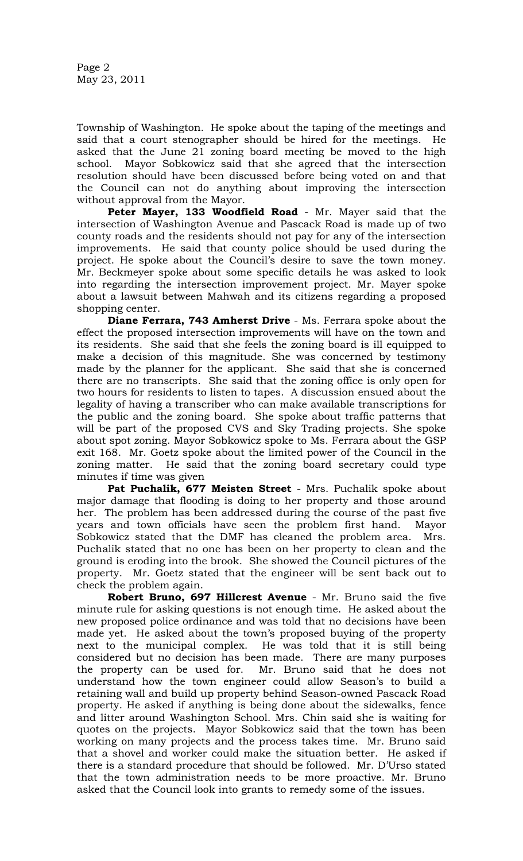Page 2 May 23, 2011

Township of Washington. He spoke about the taping of the meetings and said that a court stenographer should be hired for the meetings. He asked that the June 21 zoning board meeting be moved to the high school. Mayor Sobkowicz said that she agreed that the intersection resolution should have been discussed before being voted on and that the Council can not do anything about improving the intersection without approval from the Mayor.

**Peter Mayer, 133 Woodfield Road** - Mr. Mayer said that the intersection of Washington Avenue and Pascack Road is made up of two county roads and the residents should not pay for any of the intersection improvements. He said that county police should be used during the project. He spoke about the Council's desire to save the town money. Mr. Beckmeyer spoke about some specific details he was asked to look into regarding the intersection improvement project. Mr. Mayer spoke about a lawsuit between Mahwah and its citizens regarding a proposed shopping center.

**Diane Ferrara, 743 Amherst Drive** - Ms. Ferrara spoke about the effect the proposed intersection improvements will have on the town and its residents. She said that she feels the zoning board is ill equipped to make a decision of this magnitude. She was concerned by testimony made by the planner for the applicant. She said that she is concerned there are no transcripts. She said that the zoning office is only open for two hours for residents to listen to tapes. A discussion ensued about the legality of having a transcriber who can make available transcriptions for the public and the zoning board. She spoke about traffic patterns that will be part of the proposed CVS and Sky Trading projects. She spoke about spot zoning. Mayor Sobkowicz spoke to Ms. Ferrara about the GSP exit 168. Mr. Goetz spoke about the limited power of the Council in the zoning matter. He said that the zoning board secretary could type minutes if time was given

**Pat Puchalik, 677 Meisten Street** - Mrs. Puchalik spoke about major damage that flooding is doing to her property and those around her. The problem has been addressed during the course of the past five years and town officials have seen the problem first hand. Mayor Sobkowicz stated that the DMF has cleaned the problem area. Mrs. Puchalik stated that no one has been on her property to clean and the ground is eroding into the brook. She showed the Council pictures of the property. Mr. Goetz stated that the engineer will be sent back out to check the problem again.

**Robert Bruno, 697 Hillcrest Avenue** - Mr. Bruno said the five minute rule for asking questions is not enough time. He asked about the new proposed police ordinance and was told that no decisions have been made yet. He asked about the town's proposed buying of the property next to the municipal complex. He was told that it is still being considered but no decision has been made. There are many purposes the property can be used for. Mr. Bruno said that he does not understand how the town engineer could allow Season's to build a retaining wall and build up property behind Season-owned Pascack Road property. He asked if anything is being done about the sidewalks, fence and litter around Washington School. Mrs. Chin said she is waiting for quotes on the projects. Mayor Sobkowicz said that the town has been working on many projects and the process takes time. Mr. Bruno said that a shovel and worker could make the situation better. He asked if there is a standard procedure that should be followed. Mr. D'Urso stated that the town administration needs to be more proactive. Mr. Bruno asked that the Council look into grants to remedy some of the issues.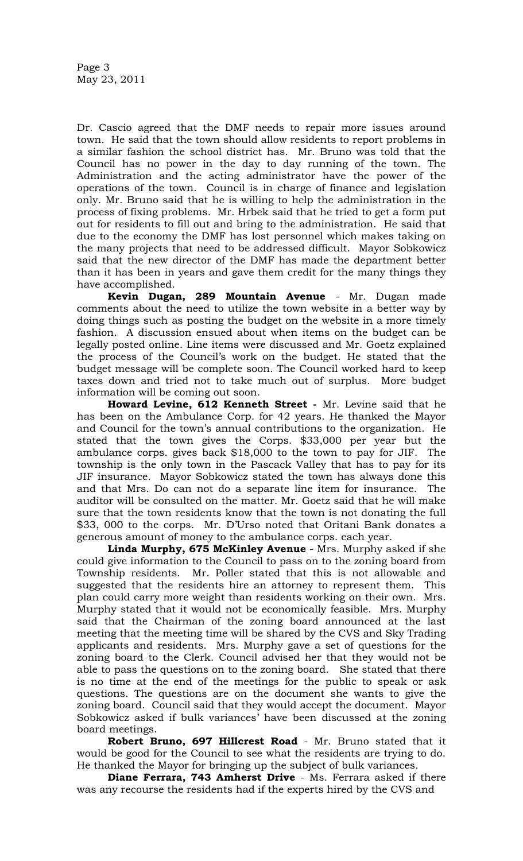Dr. Cascio agreed that the DMF needs to repair more issues around town. He said that the town should allow residents to report problems in a similar fashion the school district has. Mr. Bruno was told that the Council has no power in the day to day running of the town. The Administration and the acting administrator have the power of the operations of the town. Council is in charge of finance and legislation only. Mr. Bruno said that he is willing to help the administration in the process of fixing problems. Mr. Hrbek said that he tried to get a form put out for residents to fill out and bring to the administration. He said that due to the economy the DMF has lost personnel which makes taking on the many projects that need to be addressed difficult. Mayor Sobkowicz said that the new director of the DMF has made the department better than it has been in years and gave them credit for the many things they have accomplished.

**Kevin Dugan, 289 Mountain Avenue** - Mr. Dugan made comments about the need to utilize the town website in a better way by doing things such as posting the budget on the website in a more timely fashion. A discussion ensued about when items on the budget can be legally posted online. Line items were discussed and Mr. Goetz explained the process of the Council's work on the budget. He stated that the budget message will be complete soon. The Council worked hard to keep taxes down and tried not to take much out of surplus. More budget information will be coming out soon.

**Howard Levine, 612 Kenneth Street -** Mr. Levine said that he has been on the Ambulance Corp. for 42 years. He thanked the Mayor and Council for the town's annual contributions to the organization. He stated that the town gives the Corps. \$33,000 per year but the ambulance corps. gives back \$18,000 to the town to pay for JIF. The township is the only town in the Pascack Valley that has to pay for its JIF insurance. Mayor Sobkowicz stated the town has always done this and that Mrs. Do can not do a separate line item for insurance. The auditor will be consulted on the matter. Mr. Goetz said that he will make sure that the town residents know that the town is not donating the full \$33, 000 to the corps. Mr. D'Urso noted that Oritani Bank donates a generous amount of money to the ambulance corps. each year.

**Linda Murphy, 675 McKinley Avenue** - Mrs. Murphy asked if she could give information to the Council to pass on to the zoning board from Township residents. Mr. Poller stated that this is not allowable and suggested that the residents hire an attorney to represent them. This plan could carry more weight than residents working on their own. Mrs. Murphy stated that it would not be economically feasible. Mrs. Murphy said that the Chairman of the zoning board announced at the last meeting that the meeting time will be shared by the CVS and Sky Trading applicants and residents. Mrs. Murphy gave a set of questions for the zoning board to the Clerk. Council advised her that they would not be able to pass the questions on to the zoning board. She stated that there is no time at the end of the meetings for the public to speak or ask questions. The questions are on the document she wants to give the zoning board. Council said that they would accept the document. Mayor Sobkowicz asked if bulk variances' have been discussed at the zoning board meetings.

**Robert Bruno, 697 Hillcrest Road** - Mr. Bruno stated that it would be good for the Council to see what the residents are trying to do. He thanked the Mayor for bringing up the subject of bulk variances.

**Diane Ferrara, 743 Amherst Drive** - Ms. Ferrara asked if there was any recourse the residents had if the experts hired by the CVS and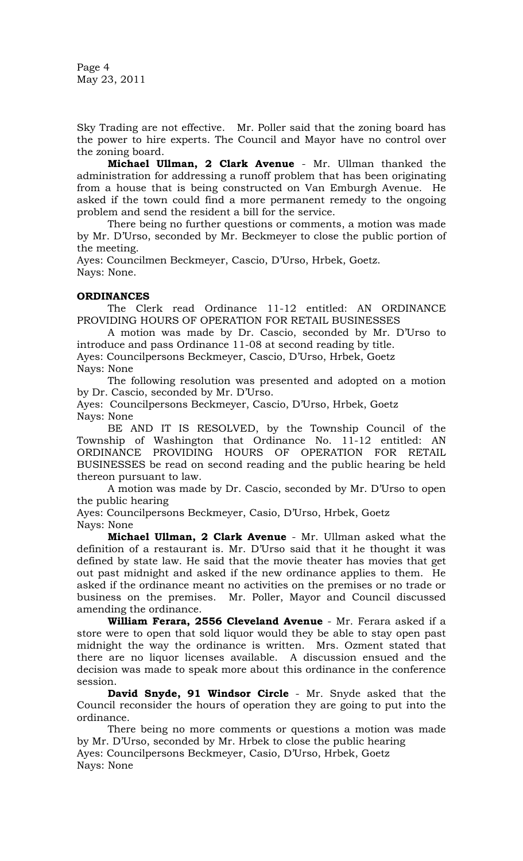Page 4 May 23, 2011

Sky Trading are not effective. Mr. Poller said that the zoning board has the power to hire experts. The Council and Mayor have no control over the zoning board.

**Michael Ullman, 2 Clark Avenue** - Mr. Ullman thanked the administration for addressing a runoff problem that has been originating from a house that is being constructed on Van Emburgh Avenue. He asked if the town could find a more permanent remedy to the ongoing problem and send the resident a bill for the service.

There being no further questions or comments, a motion was made by Mr. D'Urso, seconded by Mr. Beckmeyer to close the public portion of the meeting.

Ayes: Councilmen Beckmeyer, Cascio, D'Urso, Hrbek, Goetz. Nays: None.

# **ORDINANCES**

The Clerk read Ordinance 11-12 entitled: AN ORDINANCE PROVIDING HOURS OF OPERATION FOR RETAIL BUSINESSES

A motion was made by Dr. Cascio, seconded by Mr. D'Urso to introduce and pass Ordinance 11-08 at second reading by title.

Ayes: Councilpersons Beckmeyer, Cascio, D'Urso, Hrbek, Goetz Nays: None

The following resolution was presented and adopted on a motion by Dr. Cascio, seconded by Mr. D'Urso.

Ayes: Councilpersons Beckmeyer, Cascio, D'Urso, Hrbek, Goetz Nays: None

BE AND IT IS RESOLVED, by the Township Council of the Township of Washington that Ordinance No. 11-12 entitled: AN ORDINANCE PROVIDING HOURS OF OPERATION FOR RETAIL BUSINESSES be read on second reading and the public hearing be held thereon pursuant to law.

A motion was made by Dr. Cascio, seconded by Mr. D'Urso to open the public hearing

Ayes: Councilpersons Beckmeyer, Casio, D'Urso, Hrbek, Goetz Nays: None

**Michael Ullman, 2 Clark Avenue** - Mr. Ullman asked what the definition of a restaurant is. Mr. D'Urso said that it he thought it was defined by state law. He said that the movie theater has movies that get out past midnight and asked if the new ordinance applies to them. He asked if the ordinance meant no activities on the premises or no trade or business on the premises. Mr. Poller, Mayor and Council discussed amending the ordinance.

**William Ferara, 2556 Cleveland Avenue** - Mr. Ferara asked if a store were to open that sold liquor would they be able to stay open past midnight the way the ordinance is written. Mrs. Ozment stated that there are no liquor licenses available. A discussion ensued and the decision was made to speak more about this ordinance in the conference session.

**David Snyde, 91 Windsor Circle** - Mr. Snyde asked that the Council reconsider the hours of operation they are going to put into the ordinance.

There being no more comments or questions a motion was made by Mr. D'Urso, seconded by Mr. Hrbek to close the public hearing Ayes: Councilpersons Beckmeyer, Casio, D'Urso, Hrbek, Goetz Nays: None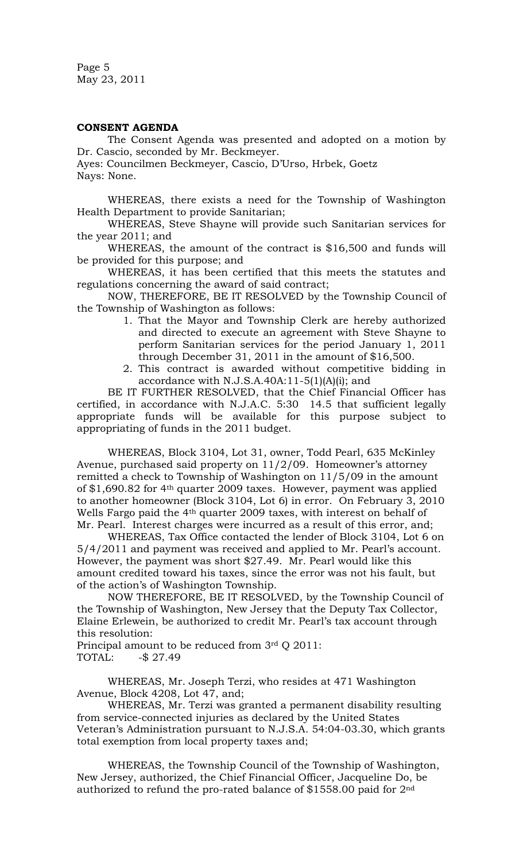Page 5 May 23, 2011

### **CONSENT AGENDA**

The Consent Agenda was presented and adopted on a motion by Dr. Cascio, seconded by Mr. Beckmeyer.

Ayes: Councilmen Beckmeyer, Cascio, D'Urso, Hrbek, Goetz Nays: None.

WHEREAS, there exists a need for the Township of Washington Health Department to provide Sanitarian;

WHEREAS, Steve Shayne will provide such Sanitarian services for the year 2011; and

WHEREAS, the amount of the contract is \$16,500 and funds will be provided for this purpose; and

WHEREAS, it has been certified that this meets the statutes and regulations concerning the award of said contract;

NOW, THEREFORE, BE IT RESOLVED by the Township Council of the Township of Washington as follows:

- 1. That the Mayor and Township Clerk are hereby authorized and directed to execute an agreement with Steve Shayne to perform Sanitarian services for the period January 1, 2011 through December 31, 2011 in the amount of \$16,500.
- 2. This contract is awarded without competitive bidding in accordance with N.J.S.A.40A:11-5(1)(A)(i); and

BE IT FURTHER RESOLVED, that the Chief Financial Officer has certified, in accordance with N.J.A.C. 5:30 14.5 that sufficient legally appropriate funds will be available for this purpose subject to appropriating of funds in the 2011 budget.

WHEREAS, Block 3104, Lot 31, owner, Todd Pearl, 635 McKinley Avenue, purchased said property on 11/2/09. Homeowner's attorney remitted a check to Township of Washington on 11/5/09 in the amount of \$1,690.82 for 4th quarter 2009 taxes. However, payment was applied to another homeowner (Block 3104, Lot 6) in error. On February 3, 2010 Wells Fargo paid the 4<sup>th</sup> quarter 2009 taxes, with interest on behalf of Mr. Pearl. Interest charges were incurred as a result of this error, and;

WHEREAS, Tax Office contacted the lender of Block 3104, Lot 6 on 5/4/2011 and payment was received and applied to Mr. Pearl's account. However, the payment was short \$27.49. Mr. Pearl would like this amount credited toward his taxes, since the error was not his fault, but of the action's of Washington Township.

NOW THEREFORE, BE IT RESOLVED, by the Township Council of the Township of Washington, New Jersey that the Deputy Tax Collector, Elaine Erlewein, be authorized to credit Mr. Pearl's tax account through this resolution:

Principal amount to be reduced from 3rd Q 2011: TOTAL: -\$ 27.49

WHEREAS, Mr. Joseph Terzi, who resides at 471 Washington Avenue, Block 4208, Lot 47, and;

WHEREAS, Mr. Terzi was granted a permanent disability resulting from service-connected injuries as declared by the United States Veteran's Administration pursuant to N.J.S.A. 54:04-03.30, which grants total exemption from local property taxes and;

WHEREAS, the Township Council of the Township of Washington, New Jersey, authorized, the Chief Financial Officer, Jacqueline Do, be authorized to refund the pro-rated balance of  $$1558.00$  paid for 2<sup>nd</sup>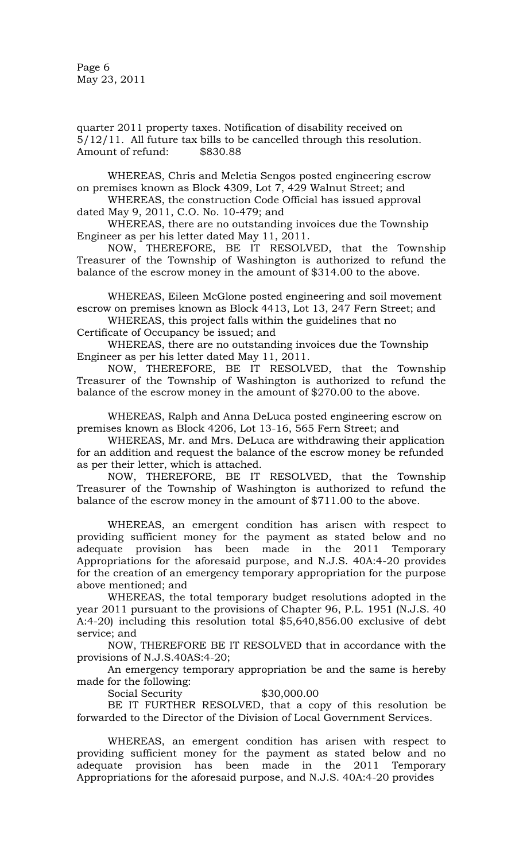Page 6 May 23, 2011

quarter 2011 property taxes. Notification of disability received on 5/12/11. All future tax bills to be cancelled through this resolution. Amount of refund: \$830.88

WHEREAS, Chris and Meletia Sengos posted engineering escrow on premises known as Block 4309, Lot 7, 429 Walnut Street; and

WHEREAS, the construction Code Official has issued approval dated May 9, 2011, C.O. No. 10-479; and

WHEREAS, there are no outstanding invoices due the Township Engineer as per his letter dated May 11, 2011.

NOW, THEREFORE, BE IT RESOLVED, that the Township Treasurer of the Township of Washington is authorized to refund the balance of the escrow money in the amount of \$314.00 to the above.

WHEREAS, Eileen McGlone posted engineering and soil movement escrow on premises known as Block 4413, Lot 13, 247 Fern Street; and

WHEREAS, this project falls within the guidelines that no Certificate of Occupancy be issued; and

WHEREAS, there are no outstanding invoices due the Township Engineer as per his letter dated May 11, 2011.

NOW, THEREFORE, BE IT RESOLVED, that the Township Treasurer of the Township of Washington is authorized to refund the balance of the escrow money in the amount of \$270.00 to the above.

WHEREAS, Ralph and Anna DeLuca posted engineering escrow on premises known as Block 4206, Lot 13-16, 565 Fern Street; and

WHEREAS, Mr. and Mrs. DeLuca are withdrawing their application for an addition and request the balance of the escrow money be refunded as per their letter, which is attached.

NOW, THEREFORE, BE IT RESOLVED, that the Township Treasurer of the Township of Washington is authorized to refund the balance of the escrow money in the amount of \$711.00 to the above.

WHEREAS, an emergent condition has arisen with respect to providing sufficient money for the payment as stated below and no adequate provision has been made in the 2011 Temporary Appropriations for the aforesaid purpose, and N.J.S. 40A:4-20 provides for the creation of an emergency temporary appropriation for the purpose above mentioned; and

WHEREAS, the total temporary budget resolutions adopted in the year 2011 pursuant to the provisions of Chapter 96, P.L. 1951 (N.J.S. 40 A:4-20) including this resolution total \$5,640,856.00 exclusive of debt service; and

NOW, THEREFORE BE IT RESOLVED that in accordance with the provisions of N.J.S.40AS:4-20;

An emergency temporary appropriation be and the same is hereby made for the following:

Social Security  $$30,000.00$ 

BE IT FURTHER RESOLVED, that a copy of this resolution be forwarded to the Director of the Division of Local Government Services.

WHEREAS, an emergent condition has arisen with respect to providing sufficient money for the payment as stated below and no adequate provision has been made in the 2011 Temporary Appropriations for the aforesaid purpose, and N.J.S. 40A:4-20 provides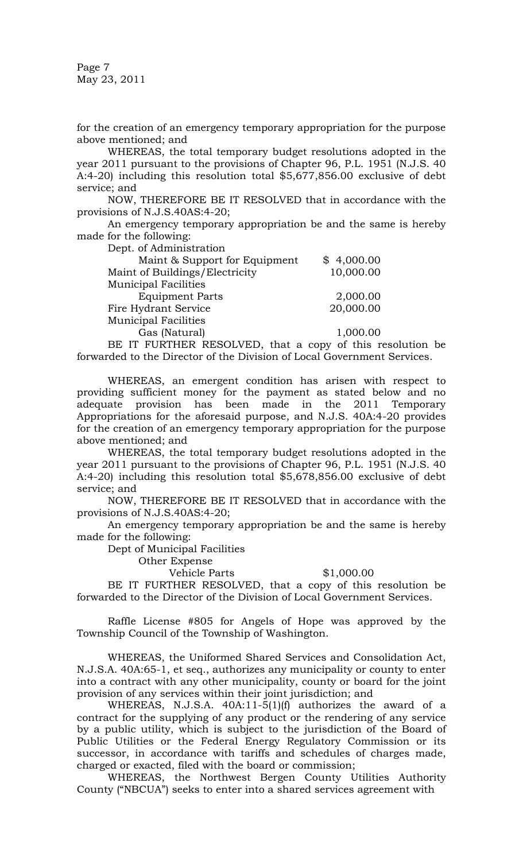Page 7 May 23, 2011

for the creation of an emergency temporary appropriation for the purpose above mentioned; and

WHEREAS, the total temporary budget resolutions adopted in the year 2011 pursuant to the provisions of Chapter 96, P.L. 1951 (N.J.S. 40 A:4-20) including this resolution total \$5,677,856.00 exclusive of debt service; and

NOW, THEREFORE BE IT RESOLVED that in accordance with the provisions of N.J.S.40AS:4-20;

An emergency temporary appropriation be and the same is hereby made for the following:

Dept. of Administration

| Dept. of <i>H</i> ummstration  |                                                                                                                                                                                                                                                                                             |
|--------------------------------|---------------------------------------------------------------------------------------------------------------------------------------------------------------------------------------------------------------------------------------------------------------------------------------------|
| Maint & Support for Equipment  | \$4,000.00                                                                                                                                                                                                                                                                                  |
| Maint of Buildings/Electricity | 10,000.00                                                                                                                                                                                                                                                                                   |
| <b>Municipal Facilities</b>    |                                                                                                                                                                                                                                                                                             |
| <b>Equipment Parts</b>         | 2,000.00                                                                                                                                                                                                                                                                                    |
| Fire Hydrant Service           | 20,000.00                                                                                                                                                                                                                                                                                   |
| <b>Municipal Facilities</b>    |                                                                                                                                                                                                                                                                                             |
| Gas (Natural)                  | 1,000.00                                                                                                                                                                                                                                                                                    |
| ni intitur n                   | $\mathbf{1}$ and $\mathbf{1}$ are all $\mathbf{1}$ and $\mathbf{1}$ and $\mathbf{1}$ and $\mathbf{1}$ and $\mathbf{1}$ are all $\mathbf{1}$ and $\mathbf{1}$ and $\mathbf{1}$ are all $\mathbf{1}$ and $\mathbf{1}$ and $\mathbf{1}$ and $\mathbf{1}$ and $\mathbf{1}$ and $\mathbf{1}$ and |

BE IT FURTHER RESOLVED, that a copy of this resolution be forwarded to the Director of the Division of Local Government Services.

WHEREAS, an emergent condition has arisen with respect to providing sufficient money for the payment as stated below and no adequate provision has been made in the 2011 Temporary Appropriations for the aforesaid purpose, and N.J.S. 40A:4-20 provides for the creation of an emergency temporary appropriation for the purpose above mentioned; and

WHEREAS, the total temporary budget resolutions adopted in the year 2011 pursuant to the provisions of Chapter 96, P.L. 1951 (N.J.S. 40 A:4-20) including this resolution total \$5,678,856.00 exclusive of debt service; and

NOW, THEREFORE BE IT RESOLVED that in accordance with the provisions of N.J.S.40AS:4-20;

An emergency temporary appropriation be and the same is hereby made for the following:

Dept of Municipal Facilities

Other Expense

Vehicle Parts \$1,000.00

BE IT FURTHER RESOLVED, that a copy of this resolution be forwarded to the Director of the Division of Local Government Services.

Raffle License #805 for Angels of Hope was approved by the Township Council of the Township of Washington.

WHEREAS, the Uniformed Shared Services and Consolidation Act, N.J.S.A. 40A:65-1, et seq., authorizes any municipality or county to enter into a contract with any other municipality, county or board for the joint provision of any services within their joint jurisdiction; and

WHEREAS, N.J.S.A. 40A:11-5(1)(f) authorizes the award of a contract for the supplying of any product or the rendering of any service by a public utility, which is subject to the jurisdiction of the Board of Public Utilities or the Federal Energy Regulatory Commission or its successor, in accordance with tariffs and schedules of charges made, charged or exacted, filed with the board or commission;

WHEREAS, the Northwest Bergen County Utilities Authority County ("NBCUA") seeks to enter into a shared services agreement with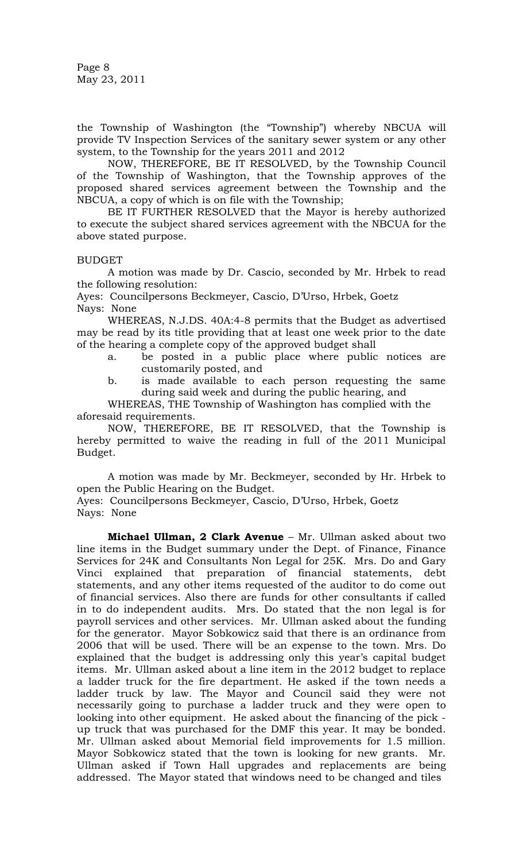Page 8 May 23, 2011

the Township of Washington (the "Township") whereby NBCUA will provide TV Inspection Services of the sanitary sewer system or any other system, to the Township for the years 2011 and 2012

NOW, THEREFORE, BE IT RESOLVED, by the Township Council of the Township of Washington, that the Township approves of the proposed shared services agreement between the Township and the NBCUA, a copy of which is on file with the Township;

BE IT FURTHER RESOLVED that the Mayor is hereby authorized to execute the subject shared services agreement with the NBCUA for the above stated purpose.

# BUDGET

A motion was made by Dr. Cascio, seconded by Mr. Hrbek to read the following resolution:

Ayes: Councilpersons Beckmeyer, Cascio, D'Urso, Hrbek, Goetz Nays: None

WHEREAS, N.J.DS. 40A:4-8 permits that the Budget as advertised may be read by its title providing that at least one week prior to the date of the hearing a complete copy of the approved budget shall

- a. be posted in a public place where public notices are customarily posted, and
- b. is made available to each person requesting the same during said week and during the public hearing, and

WHEREAS, THE Township of Washington has complied with the aforesaid requirements.

NOW, THEREFORE, BE IT RESOLVED, that the Township is hereby permitted to waive the reading in full of the 2011 Municipal Budget.

A motion was made by Mr. Beckmeyer, seconded by Hr. Hrbek to open the Public Hearing on the Budget.

Ayes: Councilpersons Beckmeyer, Cascio, D'Urso, Hrbek, Goetz Nays: None

**Michael Ullman, 2 Clark Avenue** – Mr. Ullman asked about two line items in the Budget summary under the Dept. of Finance, Finance Services for 24K and Consultants Non Legal for 25K. Mrs. Do and Gary Vinci explained that preparation of financial statements, debt statements, and any other items requested of the auditor to do come out of financial services. Also there are funds for other consultants if called in to do independent audits. Mrs. Do stated that the non legal is for payroll services and other services. Mr. Ullman asked about the funding for the generator. Mayor Sobkowicz said that there is an ordinance from 2006 that will be used. There will be an expense to the town. Mrs. Do explained that the budget is addressing only this year's capital budget items. Mr. Ullman asked about a line item in the 2012 budget to replace a ladder truck for the fire department. He asked if the town needs a ladder truck by law. The Mayor and Council said they were not necessarily going to purchase a ladder truck and they were open to looking into other equipment. He asked about the financing of the pick up truck that was purchased for the DMF this year. It may be bonded. Mr. Ullman asked about Memorial field improvements for 1.5 million. Mayor Sobkowicz stated that the town is looking for new grants. Mr. Ullman asked if Town Hall upgrades and replacements are being addressed. The Mayor stated that windows need to be changed and tiles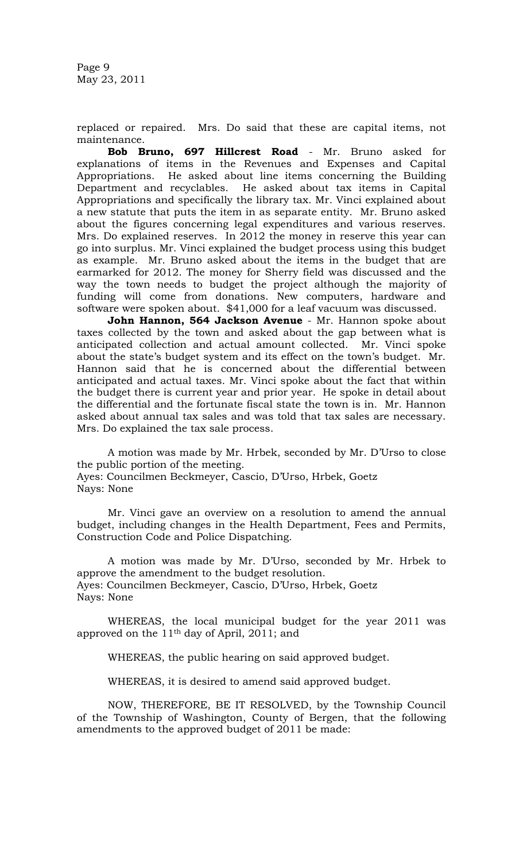Page 9 May 23, 2011

replaced or repaired. Mrs. Do said that these are capital items, not maintenance.

**Bob Bruno, 697 Hillcrest Road** - Mr. Bruno asked for explanations of items in the Revenues and Expenses and Capital Appropriations. He asked about line items concerning the Building Department and recyclables. He asked about tax items in Capital Appropriations and specifically the library tax. Mr. Vinci explained about a new statute that puts the item in as separate entity. Mr. Bruno asked about the figures concerning legal expenditures and various reserves. Mrs. Do explained reserves. In 2012 the money in reserve this year can go into surplus. Mr. Vinci explained the budget process using this budget as example. Mr. Bruno asked about the items in the budget that are earmarked for 2012. The money for Sherry field was discussed and the way the town needs to budget the project although the majority of funding will come from donations. New computers, hardware and software were spoken about. \$41,000 for a leaf vacuum was discussed.

**John Hannon, 564 Jackson Avenue** - Mr. Hannon spoke about taxes collected by the town and asked about the gap between what is anticipated collection and actual amount collected. Mr. Vinci spoke about the state's budget system and its effect on the town's budget. Mr. Hannon said that he is concerned about the differential between anticipated and actual taxes. Mr. Vinci spoke about the fact that within the budget there is current year and prior year. He spoke in detail about the differential and the fortunate fiscal state the town is in. Mr. Hannon asked about annual tax sales and was told that tax sales are necessary. Mrs. Do explained the tax sale process.

A motion was made by Mr. Hrbek, seconded by Mr. D'Urso to close the public portion of the meeting.

Ayes: Councilmen Beckmeyer, Cascio, D'Urso, Hrbek, Goetz Nays: None

Mr. Vinci gave an overview on a resolution to amend the annual budget, including changes in the Health Department, Fees and Permits, Construction Code and Police Dispatching.

A motion was made by Mr. D'Urso, seconded by Mr. Hrbek to approve the amendment to the budget resolution. Ayes: Councilmen Beckmeyer, Cascio, D'Urso, Hrbek, Goetz Nays: None

WHEREAS, the local municipal budget for the year 2011 was approved on the 11th day of April, 2011; and

WHEREAS, the public hearing on said approved budget.

WHEREAS, it is desired to amend said approved budget.

NOW, THEREFORE, BE IT RESOLVED, by the Township Council of the Township of Washington, County of Bergen, that the following amendments to the approved budget of 2011 be made: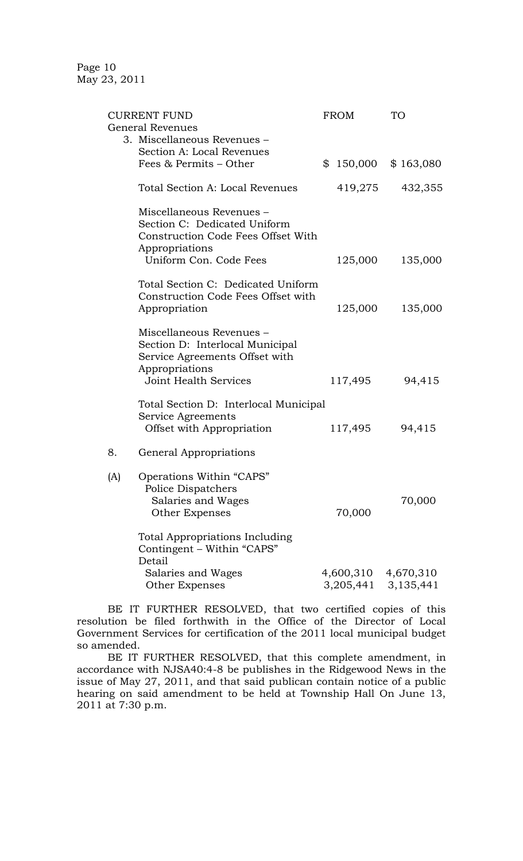Page 10 May 23, 2011

|                              | <b>CURRENT FUND</b>                                                                                             | <b>FROM</b>            | TО                     |
|------------------------------|-----------------------------------------------------------------------------------------------------------------|------------------------|------------------------|
|                              | <b>General Revenues</b>                                                                                         |                        |                        |
|                              | 3. Miscellaneous Revenues -                                                                                     |                        |                        |
|                              | Section A: Local Revenues                                                                                       |                        |                        |
| Fees & Permits – Other       |                                                                                                                 |                        | $$150,000$ $$163,080$  |
|                              | Total Section A: Local Revenues                                                                                 | 419,275                | 432,355                |
|                              | Miscellaneous Revenues -<br>Section C: Dedicated Uniform<br>Construction Code Fees Offset With                  |                        |                        |
|                              | Appropriations                                                                                                  |                        |                        |
|                              | Uniform Con. Code Fees                                                                                          | 125,000                | 135,000                |
|                              | Total Section C: Dedicated Uniform<br>Construction Code Fees Offset with                                        |                        |                        |
|                              | Appropriation                                                                                                   | 125,000                | 135,000                |
|                              | Miscellaneous Revenues -<br>Section D: Interlocal Municipal<br>Service Agreements Offset with<br>Appropriations |                        |                        |
| <b>Joint Health Services</b> |                                                                                                                 | 117,495                | 94,415                 |
|                              | Total Section D: Interlocal Municipal<br>Service Agreements<br>Offset with Appropriation                        | 117,495                | 94,415                 |
|                              |                                                                                                                 |                        |                        |
| 8.                           | General Appropriations                                                                                          |                        |                        |
| (A)                          | Operations Within "CAPS"<br>Police Dispatchers<br>Salaries and Wages<br>Other Expenses                          | 70,000                 | 70,000                 |
|                              | <b>Total Appropriations Including</b><br>Contingent – Within "CAPS"<br>Detail                                   |                        |                        |
|                              | Salaries and Wages<br>Other Expenses                                                                            | 4,600,310<br>3,205,441 | 4,670,310<br>3,135,441 |

BE IT FURTHER RESOLVED, that two certified copies of this resolution be filed forthwith in the Office of the Director of Local Government Services for certification of the 2011 local municipal budget so amended.

BE IT FURTHER RESOLVED, that this complete amendment, in accordance with NJSA40:4-8 be publishes in the Ridgewood News in the issue of May 27, 2011, and that said publican contain notice of a public hearing on said amendment to be held at Township Hall On June 13, 2011 at 7:30 p.m.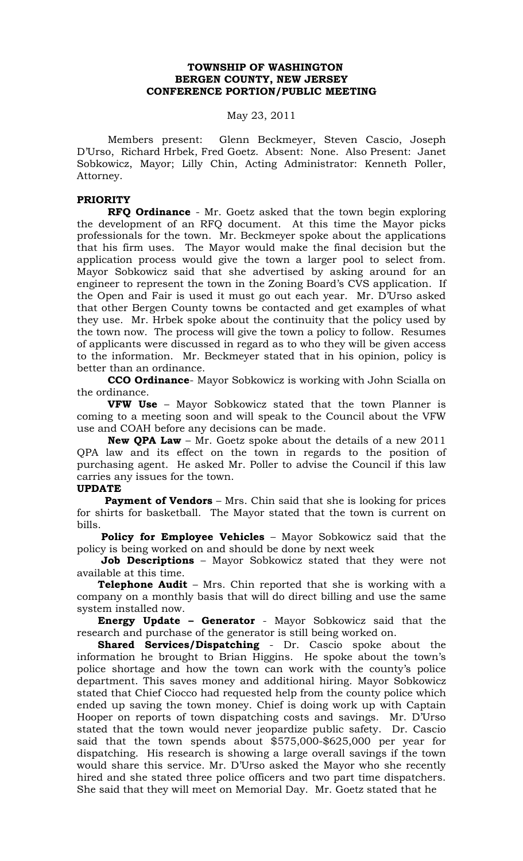# **TOWNSHIP OF WASHINGTON BERGEN COUNTY, NEW JERSEY CONFERENCE PORTION/PUBLIC MEETING**

### May 23, 2011

Members present: Glenn Beckmeyer, Steven Cascio, Joseph D'Urso, Richard Hrbek, Fred Goetz. Absent: None. Also Present: Janet Sobkowicz, Mayor; Lilly Chin, Acting Administrator: Kenneth Poller, Attorney.

# **PRIORITY**

**RFQ Ordinance** - Mr. Goetz asked that the town begin exploring the development of an RFQ document. At this time the Mayor picks professionals for the town. Mr. Beckmeyer spoke about the applications that his firm uses. The Mayor would make the final decision but the application process would give the town a larger pool to select from. Mayor Sobkowicz said that she advertised by asking around for an engineer to represent the town in the Zoning Board's CVS application. If the Open and Fair is used it must go out each year. Mr. D'Urso asked that other Bergen County towns be contacted and get examples of what they use. Mr. Hrbek spoke about the continuity that the policy used by the town now. The process will give the town a policy to follow. Resumes of applicants were discussed in regard as to who they will be given access to the information. Mr. Beckmeyer stated that in his opinion, policy is better than an ordinance.

**CCO Ordinance**- Mayor Sobkowicz is working with John Scialla on the ordinance.

**VFW Use** – Mayor Sobkowicz stated that the town Planner is coming to a meeting soon and will speak to the Council about the VFW use and COAH before any decisions can be made.

**New QPA Law** – Mr. Goetz spoke about the details of a new 2011 QPA law and its effect on the town in regards to the position of purchasing agent. He asked Mr. Poller to advise the Council if this law carries any issues for the town.

### **UPDATE**

**Payment of Vendors** – Mrs. Chin said that she is looking for prices for shirts for basketball. The Mayor stated that the town is current on bills.

 **Policy for Employee Vehicles** – Mayor Sobkowicz said that the policy is being worked on and should be done by next week

 **Job Descriptions** – Mayor Sobkowicz stated that they were not available at this time.

 **Telephone Audit** – Mrs. Chin reported that she is working with a company on a monthly basis that will do direct billing and use the same system installed now.

 **Energy Update – Generator** - Mayor Sobkowicz said that the research and purchase of the generator is still being worked on.

 **Shared Services/Dispatching** - Dr. Cascio spoke about the information he brought to Brian Higgins. He spoke about the town's police shortage and how the town can work with the county's police department. This saves money and additional hiring. Mayor Sobkowicz stated that Chief Ciocco had requested help from the county police which ended up saving the town money. Chief is doing work up with Captain Hooper on reports of town dispatching costs and savings. Mr. D'Urso stated that the town would never jeopardize public safety. Dr. Cascio said that the town spends about \$575,000-\$625,000 per year for dispatching. His research is showing a large overall savings if the town would share this service. Mr. D'Urso asked the Mayor who she recently hired and she stated three police officers and two part time dispatchers. She said that they will meet on Memorial Day. Mr. Goetz stated that he